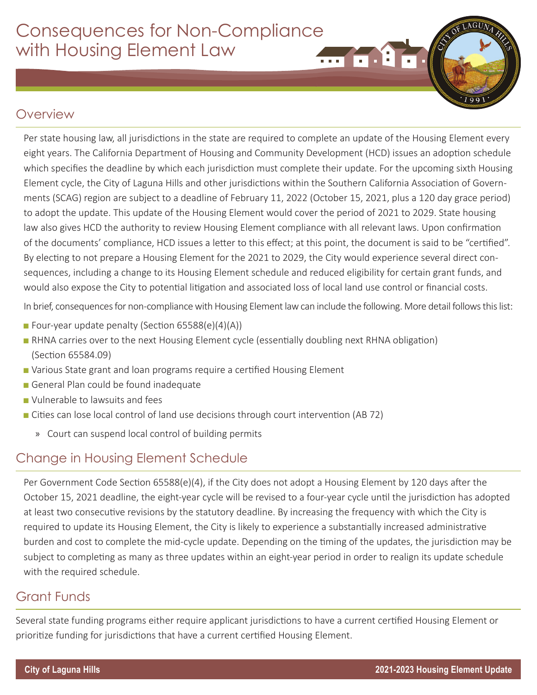# Consequences for Non-Compliance with Housing Element Law  $m$  of  $1$  o

### **Overview**

Per state housing law, all jurisdictions in the state are required to complete an update of the Housing Element every eight years. The California Department of Housing and Community Development (HCD) issues an adoption schedule which specifies the deadline by which each jurisdiction must complete their update. For the upcoming sixth Housing Element cycle, the City of Laguna Hills and other jurisdictions within the Southern California Association of Governments (SCAG) region are subject to a deadline of February 11, 2022 (October 15, 2021, plus a 120 day grace period) to adopt the update. This update of the Housing Element would cover the period of 2021 to 2029. State housing law also gives HCD the authority to review Housing Element compliance with all relevant laws. Upon confirmation of the documents' compliance, HCD issues a letter to this effect; at this point, the document is said to be "certified". By electing to not prepare a Housing Element for the 2021 to 2029, the City would experience several direct consequences, including a change to its Housing Element schedule and reduced eligibility for certain grant funds, and would also expose the City to potential litigation and associated loss of local land use control or financial costs.

In brief, consequences for non-compliance with Housing Element law can include the following. More detail follows this list:

- Four-year update penalty (Section 65588(e)(4)(A))
- RHNA carries over to the next Housing Element cycle (essentially doubling next RHNA obligation) (Section 65584.09)
- Various State grant and loan programs require a certified Housing Element
- General Plan could be found inadequate
- Vulnerable to lawsuits and fees
- Cities can lose local control of land use decisions through court intervention (AB 72)
	- » Court can suspend local control of building permits

### Change in Housing Element Schedule

Per Government Code Section 65588(e)(4), if the City does not adopt a Housing Element by 120 days after the October 15, 2021 deadline, the eight-year cycle will be revised to a four-year cycle until the jurisdiction has adopted at least two consecutive revisions by the statutory deadline. By increasing the frequency with which the City is required to update its Housing Element, the City is likely to experience a substantially increased administrative burden and cost to complete the mid-cycle update. Depending on the timing of the updates, the jurisdiction may be subject to completing as many as three updates within an eight-year period in order to realign its update schedule with the required schedule.

#### Grant Funds

Several state funding programs either require applicant jurisdictions to have a current certified Housing Element or prioritize funding for jurisdictions that have a current certified Housing Element.

LAGU.